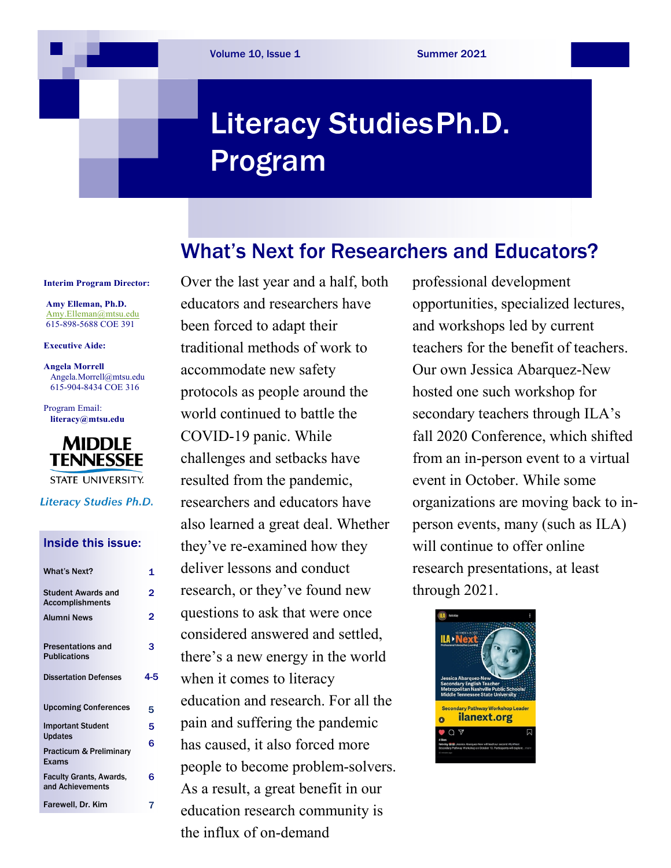# **Literacy Studies Ph.D.** Program

### What's Next for Researchers and Educators?

**Interim Program Director:**

**Amy Elleman, Ph.D.**  [Amy.Elleman@mtsu.edu](mailto:Amy.Elleman@mtsu.edu) 615-898-5688 COE 391

**Executive Aide:**

**Angela Morrell** [Angela.Morrell@mtsu.edu](mailto:Angela.Morrell@mtsu.edu) 615-904-8434 COE 316

Program Email: **[literacy@mtsu.edu](mailto:literacy@mtsu.edu)**



**STATE UNIVERSITY.** 

**Literacy Studies Ph.D.** 

#### Inside this issue:

| <b>What's Next?</b>                                 | 1   |
|-----------------------------------------------------|-----|
| <b>Student Awards and</b><br><b>Accomplishments</b> | 2   |
| <b>Alumni News</b>                                  | 2   |
| <b>Presentations and</b><br><b>Publications</b>     | 3   |
| <b>Dissertation Defenses</b>                        | 4-5 |
| <b>Upcoming Conferences</b>                         | 5   |
| <b>Important Student</b><br><b>Updates</b>          | 5   |
| Practicum & Preliminary<br>Exams                    | 6   |
| <b>Faculty Grants, Awards,</b><br>and Achievements  | 6   |
| Farewell, Dr. Kim                                   | 7   |
|                                                     |     |

Over the last year and a half, both educators and researchers have been forced to adapt their traditional methods of work to accommodate new safety protocols as people around the world continued to battle the COVID-19 panic. While challenges and setbacks have resulted from the pandemic, researchers and educators have also learned a great deal. Whether they've re-examined how they deliver lessons and conduct research, or they've found new questions to ask that were once considered answered and settled, there's a new energy in the world when it comes to literacy education and research. For all the pain and suffering the pandemic has caused, it also forced more people to become problem-solvers. As a result, a great benefit in our education research community is the influx of on-demand

professional development opportunities, specialized lectures, and workshops led by current teachers for the benefit of teachers. Our own Jessica Abarquez-New hosted one such workshop for secondary teachers through ILA's fall 2020 Conference, which shifted from an in-person event to a virtual event in October. While some organizations are moving back to inperson events, many (such as ILA) will continue to offer online research presentations, at least through 2021.

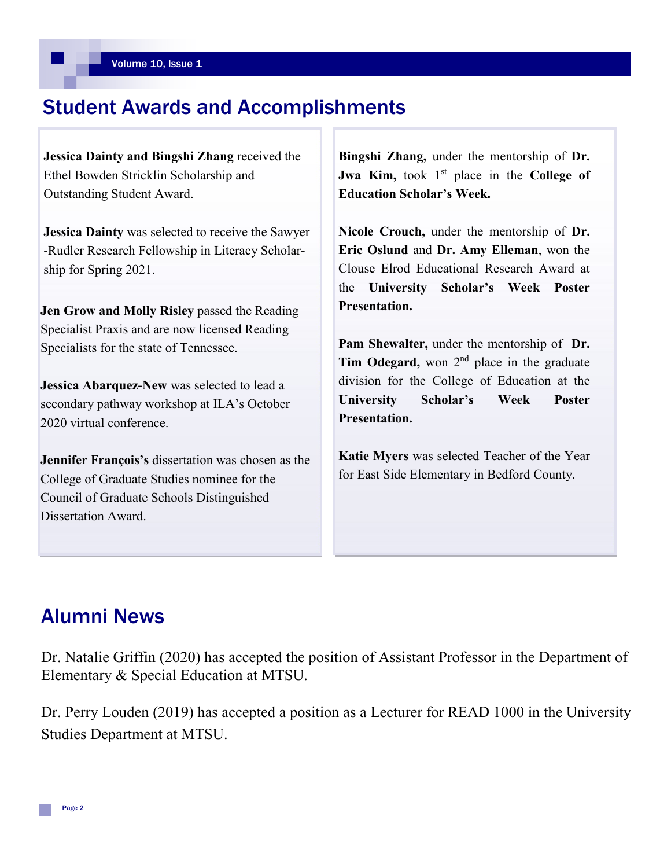### Student Awards and Accomplishments

**Jessica Dainty and Bingshi Zhang** received the Ethel Bowden Stricklin Scholarship and Outstanding Student Award.

**Jessica Dainty** was selected to receive the Sawyer -Rudler Research Fellowship in Literacy Scholarship for Spring 2021.

**Jen Grow and Molly Risley** passed the Reading Specialist Praxis and are now licensed Reading Specialists for the state of Tennessee.

**Jessica Abarquez-New** was selected to lead a secondary pathway workshop at ILA's October 2020 virtual conference.

**Jennifer François's** dissertation was chosen as the College of Graduate Studies nominee for the Council of Graduate Schools Distinguished Dissertation Award.

**Bingshi Zhang,** under the mentorship of **Dr. Jwa Kim,** took 1<sup>st</sup> place in the **College of Education Scholar's Week.**

**Nicole Crouch,** under the mentorship of **Dr. Eric Oslund** and **Dr. Amy Elleman**, won the Clouse Elrod Educational Research Award at the **University Scholar's Week Poster Presentation.**

**Pam Shewalter,** under the mentorship of **Dr.**  Tim Odegard, won 2<sup>nd</sup> place in the graduate division for the College of Education at the **University Scholar's Week Poster Presentation.** 

**Katie Myers** was selected Teacher of the Year for East Side Elementary in Bedford County.

### Alumni News

Dr. Natalie Griffin (2020) has accepted the position of Assistant Professor in the Department of Elementary & Special Education at MTSU.

Dr. Perry Louden (2019) has accepted a position as a Lecturer for READ 1000 in the University Studies Department at MTSU.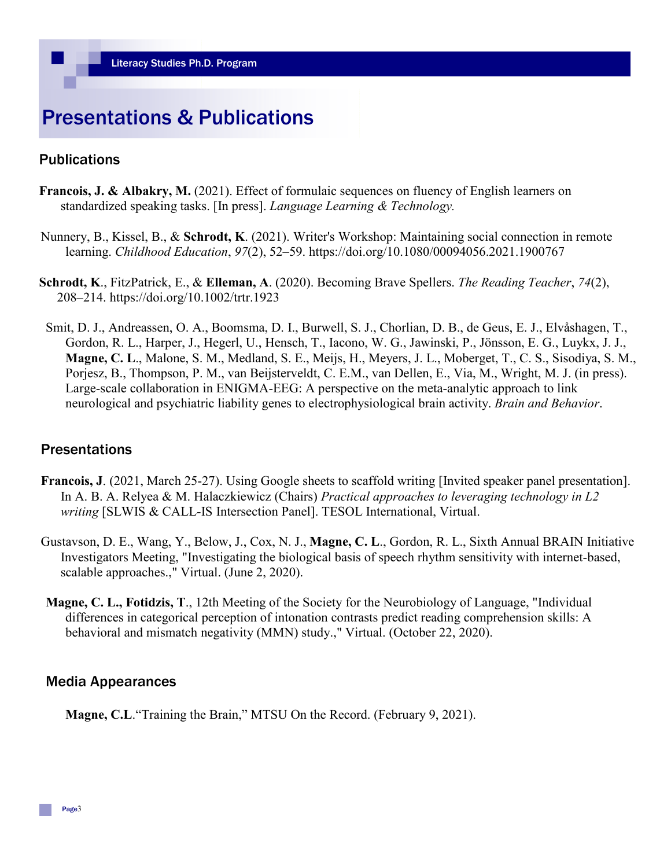## Presentations & Publications

#### **Publications**

- **Francois, J. & Albakry, M.** (2021). Effect of formulaic sequences on fluency of English learners on standardized speaking tasks. [In press]. *Language Learning & Technology.*
- Nunnery, B., Kissel, B., & **Schrodt, K**. (2021). Writer's Workshop: Maintaining social connection in remote learning. *Childhood Education*, *97*(2), 52–59. https://doi.org/10.1080/00094056.2021.1900767
- **Schrodt, K**., FitzPatrick, E., & **Elleman, A**. (2020). Becoming Brave Spellers. *The Reading Teacher*, *74*(2), 208–214. https://doi.org/10.1002/trtr.1923
- Smit, D. J., Andreassen, O. A., Boomsma, D. I., Burwell, S. J., Chorlian, D. B., de Geus, E. J., Elvåshagen, T., Gordon, R. L., Harper, J., Hegerl, U., Hensch, T., Iacono, W. G., Jawinski, P., Jönsson, E. G., Luykx, J. J., **Magne, C. L**., Malone, S. M., Medland, S. E., Meijs, H., Meyers, J. L., Moberget, T., C. S., Sisodiya, S. M., Porjesz, B., Thompson, P. M., van Beijsterveldt, C. E.M., van Dellen, E., Via, M., Wright, M. J. (in press). Large-scale collaboration in ENIGMA-EEG: A perspective on the meta-analytic approach to link neurological and psychiatric liability genes to electrophysiological brain activity. *Brain and Behavior*.

#### **Presentations**

- **Francois, J**. (2021, March 25-27). Using Google sheets to scaffold writing [Invited speaker panel presentation]. In A. B. A. Relyea & M. Halaczkiewicz (Chairs) *Practical approaches to leveraging technology in L2 writing* [SLWIS & CALL-IS Intersection Panel]. TESOL International, Virtual.
- Gustavson, D. E., Wang, Y., Below, J., Cox, N. J., **Magne, C. L**., Gordon, R. L., Sixth Annual BRAIN Initiative Investigators Meeting, "Investigating the biological basis of speech rhythm sensitivity with internet-based, scalable approaches.," Virtual. (June 2, 2020).
- **Magne, C. L., Fotidzis, T**., 12th Meeting of the Society for the Neurobiology of Language, "Individual differences in categorical perception of intonation contrasts predict reading comprehension skills: A behavioral and mismatch negativity (MMN) study.," Virtual. (October 22, 2020).

#### Media Appearances

**Magne, C.L**."Training the Brain," MTSU On the Record. (February 9, 2021).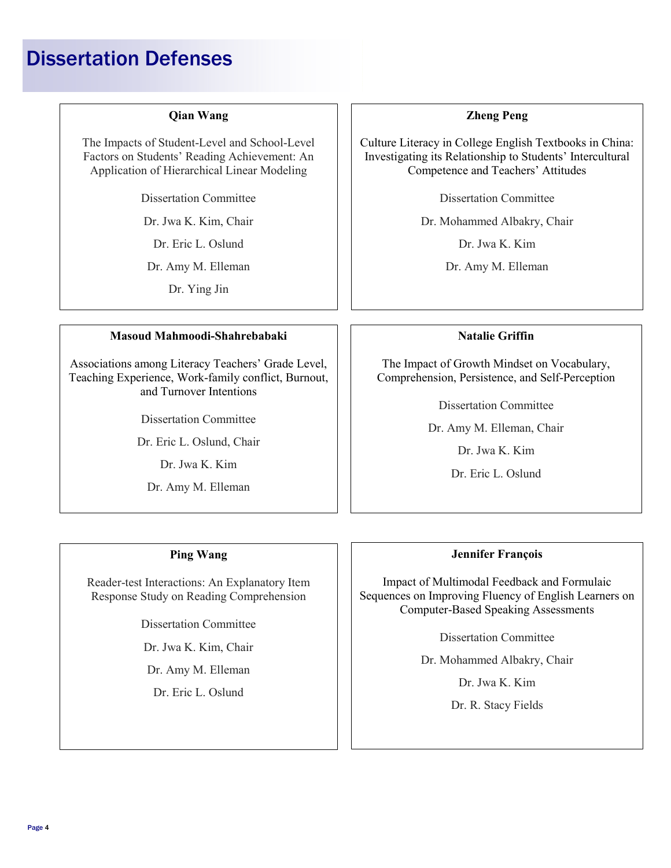# Dissertation Defenses

#### **Qian Wang**

The Impacts of Student-Level and School-Level Factors on Students' Reading Achievement: An Application of Hierarchical Linear Modeling

Dissertation Committee

Dr. Jwa K. Kim, Chair

Dr. Eric L. Oslund

Dr. Amy M. Elleman

Dr. Ying Jin

#### **Masoud Mahmoodi-Shahrebabaki**

Associations among Literacy Teachers' Grade Level, Teaching Experience, Work-family conflict, Burnout, and Turnover Intentions

Dissertation Committee

Dr. Eric L. Oslund, Chair

Dr. Jwa K. Kim

Dr. Amy M. Elleman

#### **Zheng Peng**

Culture Literacy in College English Textbooks in China: Investigating its Relationship to Students' Intercultural Competence and Teachers' Attitudes

Dissertation Committee

Dr. Mohammed Albakry, Chair

Dr. Jwa K. Kim

Dr. Amy M. Elleman

#### **Natalie Griffin**

The Impact of Growth Mindset on Vocabulary, Comprehension, Persistence, and Self-Perception

Dissertation Committee

Dr. Amy M. Elleman, Chair

Dr. Jwa K. Kim

Dr. Eric L. Oslund

#### **Ping Wang**

Reader-test Interactions: An Explanatory Item Response Study on Reading Comprehension

Dissertation Committee

Dr. Jwa K. Kim, Chair

Dr. Amy M. Elleman

Dr. Eric L. Oslund

#### **Jennifer François**

Impact of Multimodal Feedback and Formulaic Sequences on Improving Fluency of English Learners on Computer-Based Speaking Assessments

Dissertation Committee

Dr. Mohammed Albakry, Chair

Dr. Jwa K. Kim

Dr. R. Stacy Fields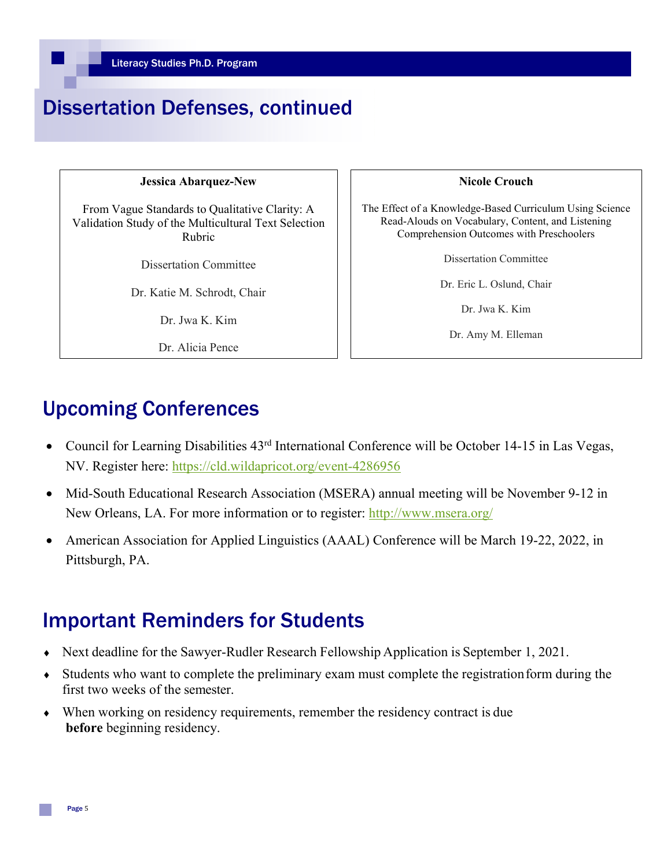# Dissertation Defenses, continued

#### **Jessica Abarquez-New**

From Vague Standards to Qualitative Clarity: A Validation Study of the Multicultural Text Selection Rubric

Dissertation Committee

Dr. Katie M. Schrodt, Chair

Dr. Jwa K. Kim

Dr. Alicia Pence

#### **Nicole Crouch**

The Effect of a Knowledge-Based Curriculum Using Science Read-Alouds on Vocabulary, Content, and Listening Comprehension Outcomes with Preschoolers

Dissertation Committee

Dr. Eric L. Oslund, Chair

Dr. Jwa K. Kim

Dr. Amy M. Elleman

# Upcoming Conferences

- Council for Learning Disabilities  $43<sup>rd</sup>$  International Conference will be October 14-15 in Las Vegas, NV. Register here:<https://cld.wildapricot.org/event-4286956>
- Mid-South Educational Research Association (MSERA) annual meeting will be November 9-12 in New Orleans, LA. For more information or to register:<http://www.msera.org/>
- American Association for Applied Linguistics (AAAL) Conference will be March 19-22, 2022, in Pittsburgh, PA.

# Important Reminders for Students

- ♦ Next deadline for the Sawyer-Rudler Research Fellowship Application is September 1, 2021.
- ♦ Students who want to complete the preliminary exam must complete the registrationform during the first two weeks of the semester.
- ♦ When working on residency requirements, remember the residency contract is due **before** beginning residency.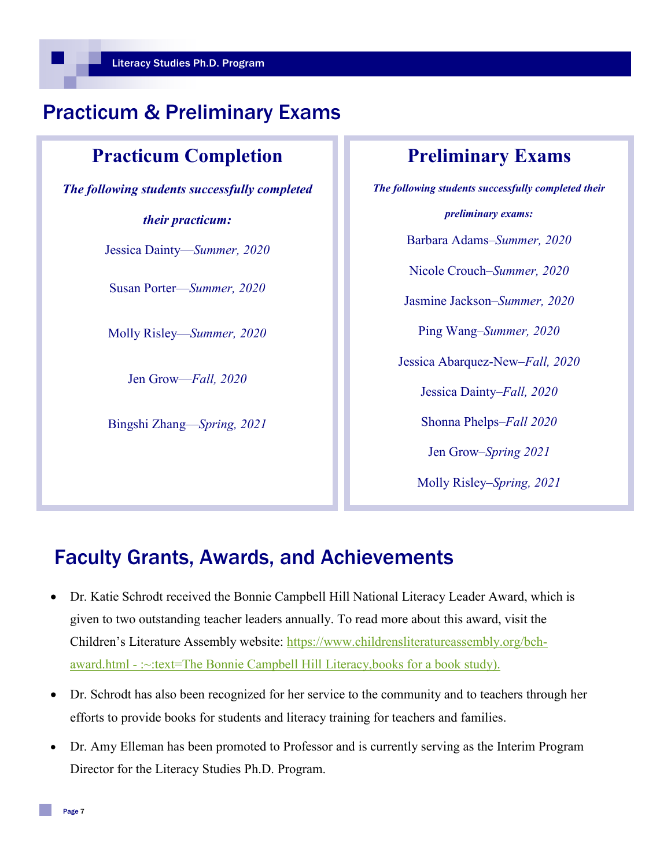### Practicum & Preliminary Exams

### **Practicum Completion**

*The following students successfully completed* 

#### *their practicum:*

Jessica Dainty—*Summer, 2020*

Susan Porter—*Summer, 2020*

Molly Risley—*Summer, 2020*

Jen Grow—*Fall, 2020*

Bingshi Zhang—*Spring, 2021*

### **Preliminary Exams**

*The following students successfully completed their preliminary exams:* Barbara Adams–*Summer, 2020* Nicole Crouch–*Summer, 2020* Jasmine Jackson–*Summer, 2020* Ping Wang–*Summer, 2020* Jessica Abarquez-New–*Fall, 2020* Jessica Dainty–*Fall, 2020* Shonna Phelps–*Fall 2020* Jen Grow–*Spring 2021* Molly Risley–*Spring, 2021*

### Faculty Grants, Awards, and Achievements

- Dr. Katie Schrodt received the Bonnie Campbell Hill National Literacy Leader Award, which is given to two outstanding teacher leaders annually. To read more about this award, visit the Children's Literature Assembly website: [https://www.childrensliteratureassembly.org/bch](https://www.childrensliteratureassembly.org/bch-award.html#:%7E:text=The%20Bonnie%20Campbell%20Hill%20Literacy,books%20for%20a%20book%20study).)award.html - [:~:text=The Bonnie Campbell Hill Literacy,books for a book study\).](https://www.childrensliteratureassembly.org/bch-award.html#:%7E:text=The%20Bonnie%20Campbell%20Hill%20Literacy,books%20for%20a%20book%20study).)
- Dr. Schrodt has also been recognized for her service to the community and to teachers through her efforts to provide books for students and literacy training for teachers and families.
- Dr. Amy Elleman has been promoted to Professor and is currently serving as the Interim Program Director for the Literacy Studies Ph.D. Program.